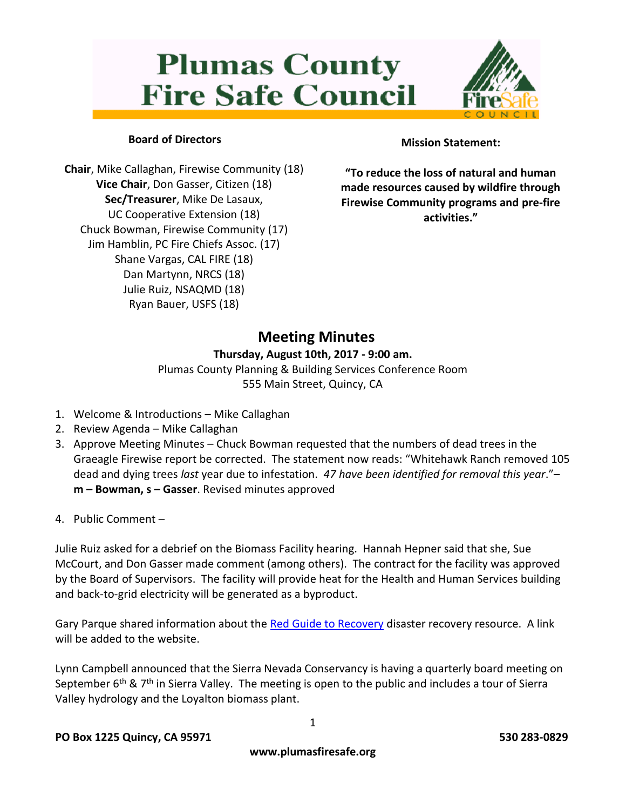# **Plumas County Fire Safe Council**



# **Board of Directors**

**Chair**, Mike Callaghan, Firewise Community (18) **Vice Chair**, Don Gasser, Citizen (18) **Sec/Treasurer**, Mike De Lasaux, UC Cooperative Extension (18) Chuck Bowman, Firewise Community (17) Jim Hamblin, PC Fire Chiefs Assoc. (17) Shane Vargas, CAL FIRE (18) Dan Martynn, NRCS (18) Julie Ruiz, NSAQMD (18) Ryan Bauer, USFS (18)

#### **Mission Statement:**

**"To reduce the loss of natural and human made resources caused by wildfire through Firewise Community programs and pre-fire activities."**

# **Meeting Minutes**

#### **Thursday, August 10th, 2017 - 9:00 am.**

Plumas County Planning & Building Services Conference Room 555 Main Street, Quincy, CA

- 1. Welcome & Introductions Mike Callaghan
- 2. Review Agenda Mike Callaghan
- 3. Approve Meeting Minutes Chuck Bowman requested that the numbers of dead trees in the Graeagle Firewise report be corrected. The statement now reads: "Whitehawk Ranch removed 105 dead and dying trees *last* year due to infestation. *47 have been identified for removal this year*."– **m – Bowman, s – Gasser**. Revised minutes approved
- 4. Public Comment –

Julie Ruiz asked for a debrief on the Biomass Facility hearing. Hannah Hepner said that she, Sue McCourt, and Don Gasser made comment (among others). The contract for the facility was approved by the Board of Supervisors. The facility will provide heat for the Health and Human Services building and back-to-grid electricity will be generated as a byproduct.

Gary Parque shared information about the [Red Guide to Recovery](http://www.theredguidetorecovery.com/) disaster recovery resource. A link will be added to the website.

Lynn Campbell announced that the Sierra Nevada Conservancy is having a quarterly board meeting on September  $6<sup>th</sup>$  &  $7<sup>th</sup>$  in Sierra Valley. The meeting is open to the public and includes a tour of Sierra Valley hydrology and the Loyalton biomass plant.

1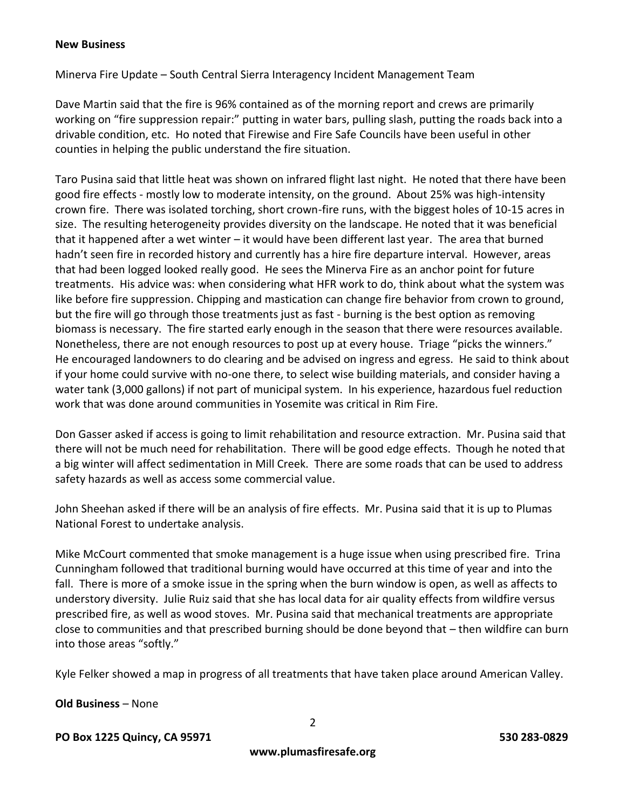#### **New Business**

Minerva Fire Update – South Central Sierra Interagency Incident Management Team

Dave Martin said that the fire is 96% contained as of the morning report and crews are primarily working on "fire suppression repair:" putting in water bars, pulling slash, putting the roads back into a drivable condition, etc. Ho noted that Firewise and Fire Safe Councils have been useful in other counties in helping the public understand the fire situation.

Taro Pusina said that little heat was shown on infrared flight last night. He noted that there have been good fire effects - mostly low to moderate intensity, on the ground. About 25% was high-intensity crown fire. There was isolated torching, short crown-fire runs, with the biggest holes of 10-15 acres in size. The resulting heterogeneity provides diversity on the landscape. He noted that it was beneficial that it happened after a wet winter – it would have been different last year. The area that burned hadn't seen fire in recorded history and currently has a hire fire departure interval. However, areas that had been logged looked really good. He sees the Minerva Fire as an anchor point for future treatments. His advice was: when considering what HFR work to do, think about what the system was like before fire suppression. Chipping and mastication can change fire behavior from crown to ground, but the fire will go through those treatments just as fast - burning is the best option as removing biomass is necessary. The fire started early enough in the season that there were resources available. Nonetheless, there are not enough resources to post up at every house. Triage "picks the winners." He encouraged landowners to do clearing and be advised on ingress and egress. He said to think about if your home could survive with no-one there, to select wise building materials, and consider having a water tank (3,000 gallons) if not part of municipal system. In his experience, hazardous fuel reduction work that was done around communities in Yosemite was critical in Rim Fire.

Don Gasser asked if access is going to limit rehabilitation and resource extraction. Mr. Pusina said that there will not be much need for rehabilitation. There will be good edge effects. Though he noted that a big winter will affect sedimentation in Mill Creek. There are some roads that can be used to address safety hazards as well as access some commercial value.

John Sheehan asked if there will be an analysis of fire effects. Mr. Pusina said that it is up to Plumas National Forest to undertake analysis.

Mike McCourt commented that smoke management is a huge issue when using prescribed fire. Trina Cunningham followed that traditional burning would have occurred at this time of year and into the fall. There is more of a smoke issue in the spring when the burn window is open, as well as affects to understory diversity. Julie Ruiz said that she has local data for air quality effects from wildfire versus prescribed fire, as well as wood stoves. Mr. Pusina said that mechanical treatments are appropriate close to communities and that prescribed burning should be done beyond that – then wildfire can burn into those areas "softly."

Kyle Felker showed a map in progress of all treatments that have taken place around American Valley.

**Old Business** – None

**PO Box 1225 Quincy, CA 95971 530 283-0829** 

**www.plumasfiresafe.org**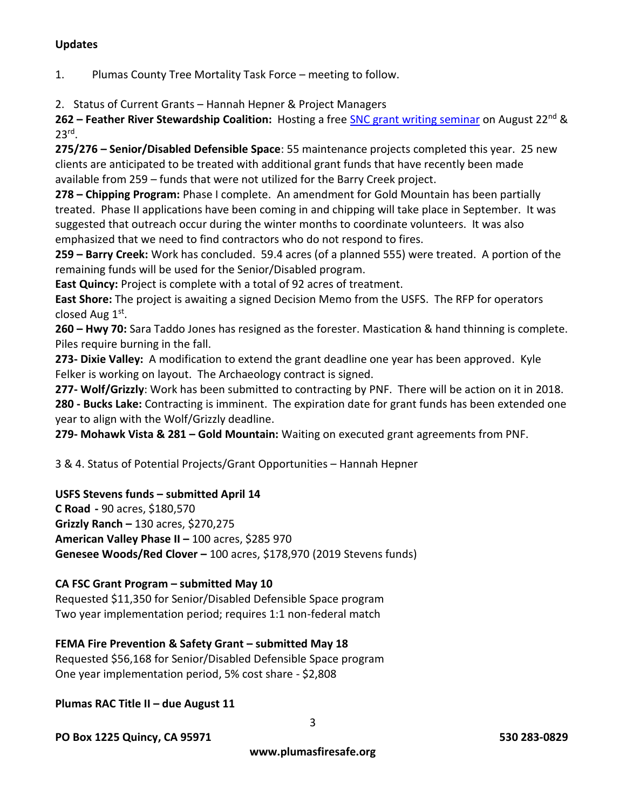#### **Updates**

1. Plumas County Tree Mortality Task Force – meeting to follow.

2. Status of Current Grants – Hannah Hepner & Project Managers

**262 – Feather River Stewardship Coalition:** Hosting a free [SNC grant writing seminar](https://www.eventbrite.com/e/introduction-to-grant-writing-tickets-33132565395) on August 22nd & 23rd .

**275/276 – Senior/Disabled Defensible Space**: 55 maintenance projects completed this year. 25 new clients are anticipated to be treated with additional grant funds that have recently been made available from 259 – funds that were not utilized for the Barry Creek project.

**278 – Chipping Program:** Phase I complete. An amendment for Gold Mountain has been partially treated. Phase II applications have been coming in and chipping will take place in September. It was suggested that outreach occur during the winter months to coordinate volunteers. It was also emphasized that we need to find contractors who do not respond to fires.

**259 – Barry Creek:** Work has concluded. 59.4 acres (of a planned 555) were treated. A portion of the remaining funds will be used for the Senior/Disabled program.

**East Quincy:** Project is complete with a total of 92 acres of treatment.

**East Shore:** The project is awaiting a signed Decision Memo from the USFS. The RFP for operators closed Aug 1st.

**260 – Hwy 70:** Sara Taddo Jones has resigned as the forester. Mastication & hand thinning is complete. Piles require burning in the fall.

**273- Dixie Valley:** A modification to extend the grant deadline one year has been approved. Kyle Felker is working on layout. The Archaeology contract is signed.

**277- Wolf/Grizzly**: Work has been submitted to contracting by PNF. There will be action on it in 2018. **280 - Bucks Lake:** Contracting is imminent. The expiration date for grant funds has been extended one year to align with the Wolf/Grizzly deadline.

**279- Mohawk Vista & 281 – Gold Mountain:** Waiting on executed grant agreements from PNF.

3 & 4. Status of Potential Projects/Grant Opportunities – Hannah Hepner

# **USFS Stevens funds – submitted April 14**

**C Road -** 90 acres, \$180,570

**Grizzly Ranch –** 130 acres, \$270,275

**American Valley Phase II –** 100 acres, \$285 970

**Genesee Woods/Red Clover –** 100 acres, \$178,970 (2019 Stevens funds)

# **CA FSC Grant Program – submitted May 10**

Requested \$11,350 for Senior/Disabled Defensible Space program Two year implementation period; requires 1:1 non-federal match

# **FEMA Fire Prevention & Safety Grant – submitted May 18**

Requested \$56,168 for Senior/Disabled Defensible Space program One year implementation period, 5% cost share - \$2,808

**Plumas RAC Title II – due August 11**

**PO Box 1225 Quincy, CA 95971 530 283-0829** 

3

**www.plumasfiresafe.org**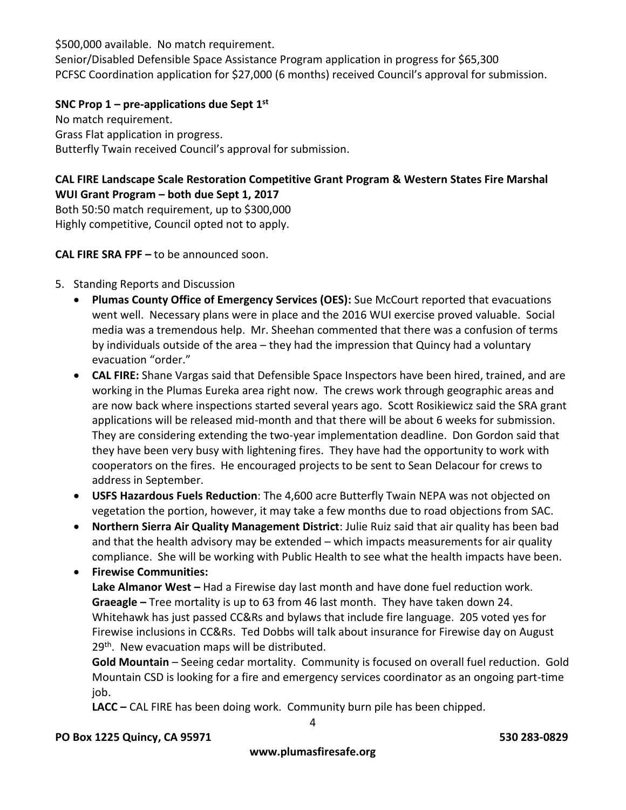\$500,000 available. No match requirement.

Senior/Disabled Defensible Space Assistance Program application in progress for \$65,300 PCFSC Coordination application for \$27,000 (6 months) received Council's approval for submission.

#### **SNC Prop 1 – pre-applications due Sept 1st**

No match requirement. Grass Flat application in progress. Butterfly Twain received Council's approval for submission.

#### **CAL FIRE Landscape Scale Restoration Competitive Grant Program & Western States Fire Marshal WUI Grant Program – both due Sept 1, 2017**

Both 50:50 match requirement, up to \$300,000 Highly competitive, Council opted not to apply.

#### **CAL FIRE SRA FPF –** to be announced soon.

- 5. Standing Reports and Discussion
	- **Plumas County Office of Emergency Services (OES):** Sue McCourt reported that evacuations went well. Necessary plans were in place and the 2016 WUI exercise proved valuable. Social media was a tremendous help. Mr. Sheehan commented that there was a confusion of terms by individuals outside of the area – they had the impression that Quincy had a voluntary evacuation "order."
	- **CAL FIRE:** Shane Vargas said that Defensible Space Inspectors have been hired, trained, and are working in the Plumas Eureka area right now. The crews work through geographic areas and are now back where inspections started several years ago. Scott Rosikiewicz said the SRA grant applications will be released mid-month and that there will be about 6 weeks for submission. They are considering extending the two-year implementation deadline. Don Gordon said that they have been very busy with lightening fires. They have had the opportunity to work with cooperators on the fires. He encouraged projects to be sent to Sean Delacour for crews to address in September.
	- **USFS Hazardous Fuels Reduction**: The 4,600 acre Butterfly Twain NEPA was not objected on vegetation the portion, however, it may take a few months due to road objections from SAC.
	- **Northern Sierra Air Quality Management District**: Julie Ruiz said that air quality has been bad and that the health advisory may be extended – which impacts measurements for air quality compliance. She will be working with Public Health to see what the health impacts have been.

 **Firewise Communities: Lake Almanor West –** Had a Firewise day last month and have done fuel reduction work. **Graeagle –** Tree mortality is up to 63 from 46 last month. They have taken down 24. Whitehawk has just passed CC&Rs and bylaws that include fire language. 205 voted yes for Firewise inclusions in CC&Rs. Ted Dobbs will talk about insurance for Firewise day on August 29<sup>th</sup>. New evacuation maps will be distributed.

**Gold Mountain** – Seeing cedar mortality. Community is focused on overall fuel reduction. Gold Mountain CSD is looking for a fire and emergency services coordinator as an ongoing part-time job.

**LACC –** CAL FIRE has been doing work. Community burn pile has been chipped.

# **PO Box 1225 Quincy, CA 95971 530 283-0829**

**www.plumasfiresafe.org**

4